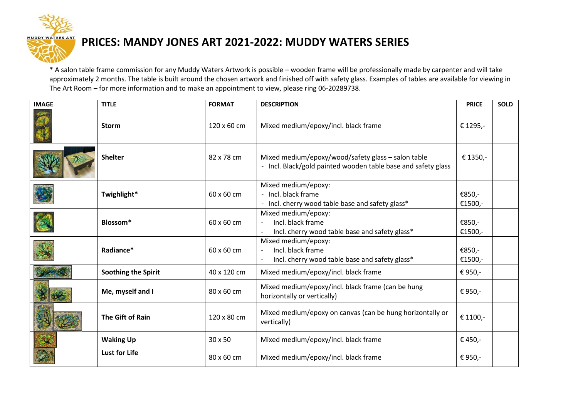

## **PRICES: MANDY JONES ART 2021-2022: MUDDY WATERS SERIES**

\* A salon table frame commission for any Muddy Waters Artwork is possible – wooden frame will be professionally made by carpenter and will take approximately 2 months. The table is built around the chosen artwork and finished off with safety glass. Examples of tables are available for viewing in The Art Room – for more information and to make an appointment to view, please ring 06-20289738.

| <b>IMAGE</b> | <b>TITLE</b>               | <b>FORMAT</b> | <b>DESCRIPTION</b>                                                                                                  | <b>PRICE</b>      | <b>SOLD</b> |
|--------------|----------------------------|---------------|---------------------------------------------------------------------------------------------------------------------|-------------------|-------------|
|              | <b>Storm</b>               | 120 x 60 cm   | Mixed medium/epoxy/incl. black frame                                                                                | € 1295,-          |             |
|              | <b>Shelter</b>             | 82 x 78 cm    | Mixed medium/epoxy/wood/safety glass - salon table<br>- Incl. Black/gold painted wooden table base and safety glass | € 1350,-          |             |
|              | Twighlight*                | 60 x 60 cm    | Mixed medium/epoxy:<br>- Incl. black frame<br>- Incl. cherry wood table base and safety glass*                      | €850,-<br>€1500,- |             |
|              | Blossom*                   | 60 x 60 cm    | Mixed medium/epoxy:<br>Incl. black frame<br>Incl. cherry wood table base and safety glass*                          | €850,-<br>€1500,- |             |
|              | Radiance*                  | 60 x 60 cm    | Mixed medium/epoxy:<br>Incl. black frame<br>Incl. cherry wood table base and safety glass*                          | €850,-<br>€1500,- |             |
|              | <b>Soothing the Spirit</b> | 40 x 120 cm   | Mixed medium/epoxy/incl. black frame                                                                                | € 950,-           |             |
|              | Me, myself and I           | 80 x 60 cm    | Mixed medium/epoxy/incl. black frame (can be hung<br>horizontally or vertically)                                    | € 950,-           |             |
|              | <b>The Gift of Rain</b>    | 120 x 80 cm   | Mixed medium/epoxy on canvas (can be hung horizontally or<br>vertically)                                            | € 1100,-          |             |
|              | <b>Waking Up</b>           | 30 x 50       | Mixed medium/epoxy/incl. black frame                                                                                | € 450,-           |             |
|              | <b>Lust for Life</b>       | 80 x 60 cm    | Mixed medium/epoxy/incl. black frame                                                                                | € 950,-           |             |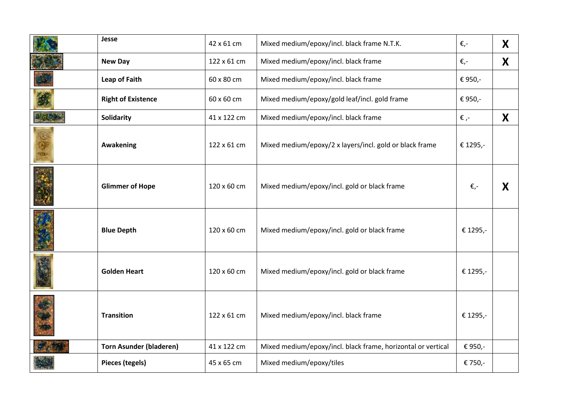| Jesse                          | 42 x 61 cm  | Mixed medium/epoxy/incl. black frame N.T.K.                  | €,-      | X |
|--------------------------------|-------------|--------------------------------------------------------------|----------|---|
| <b>New Day</b>                 | 122 x 61 cm | Mixed medium/epoxy/incl. black frame                         | €,-      | X |
| Leap of Faith                  | 60 x 80 cm  | Mixed medium/epoxy/incl. black frame                         | € 950,-  |   |
| <b>Right of Existence</b>      | 60 x 60 cm  | Mixed medium/epoxy/gold leaf/incl. gold frame                | € 950,-  |   |
| Solidarity                     | 41 x 122 cm | Mixed medium/epoxy/incl. black frame                         | €,-      | X |
| Awakening                      | 122 x 61 cm | Mixed medium/epoxy/2 x layers/incl. gold or black frame      | € 1295,- |   |
| <b>Glimmer of Hope</b>         | 120 x 60 cm | Mixed medium/epoxy/incl. gold or black frame                 | €,-      | X |
| <b>Blue Depth</b>              | 120 x 60 cm | Mixed medium/epoxy/incl. gold or black frame                 | € 1295,- |   |
| <b>Golden Heart</b>            | 120 x 60 cm | Mixed medium/epoxy/incl. gold or black frame                 | € 1295,- |   |
| <b>Transition</b>              | 122 x 61 cm | Mixed medium/epoxy/incl. black frame                         | € 1295,- |   |
| <b>Torn Asunder (bladeren)</b> | 41 x 122 cm | Mixed medium/epoxy/incl. black frame, horizontal or vertical | € 950,-  |   |
| Pieces (tegels)                | 45 x 65 cm  | Mixed medium/epoxy/tiles                                     | € 750,-  |   |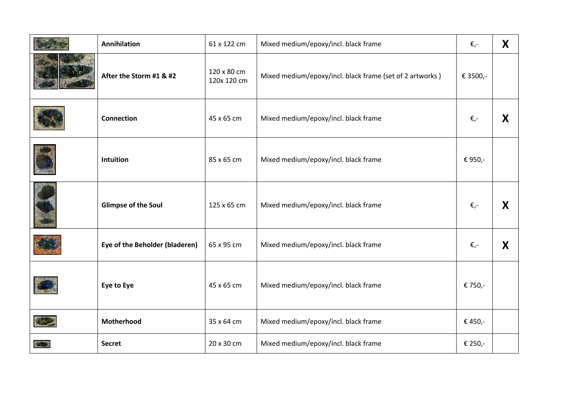| <b>Annihilation</b>            | 61 x 122 cm                | Mixed medium/epoxy/incl. black frame                     | €,-      | X |
|--------------------------------|----------------------------|----------------------------------------------------------|----------|---|
| After the Storm #1 & #2        | 120 x 80 cm<br>120x 120 cm | Mixed medium/epoxy/incl. black frame (set of 2 artworks) | € 3500,- |   |
| <b>Connection</b>              | 45 x 65 cm                 | Mixed medium/epoxy/incl. black frame                     | €,-      | X |
| Intuition                      | 85 x 65 cm                 | Mixed medium/epoxy/incl. black frame                     | € 950,-  |   |
| <b>Glimpse of the Soul</b>     | 125 x 65 cm                | Mixed medium/epoxy/incl. black frame                     | €,-      | X |
| Eye of the Beholder (bladeren) | 65 x 95 cm                 | Mixed medium/epoxy/incl. black frame                     | €,-      | X |
| Eye to Eye                     | 45 x 65 cm                 | Mixed medium/epoxy/incl. black frame                     | € 750,-  |   |
| Motherhood                     | 35 x 64 cm                 | Mixed medium/epoxy/incl. black frame                     | € 450,-  |   |
| <b>Secret</b>                  | 20 x 30 cm                 | Mixed medium/epoxy/incl. black frame                     | € 250,-  |   |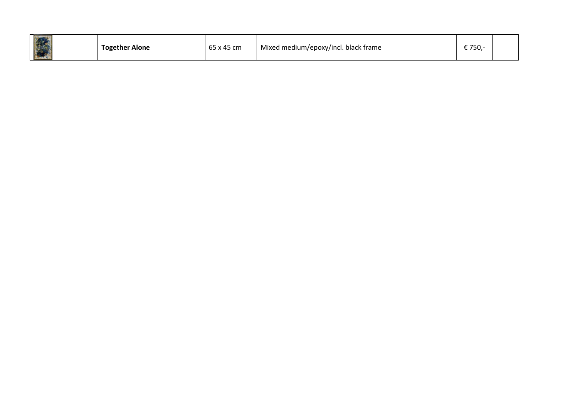| _<br>X BA | <b>Together Alone</b> | 65 x 45 cm | Mixed medium/epoxy/incl. black frame | <u>≎ 7⊑∩</u><br>, JU |  |
|-----------|-----------------------|------------|--------------------------------------|----------------------|--|
|-----------|-----------------------|------------|--------------------------------------|----------------------|--|